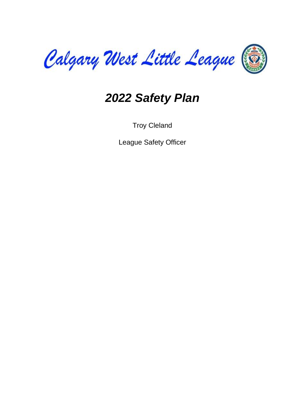

# *2022 Safety Plan*

Troy Cleland

League Safety Officer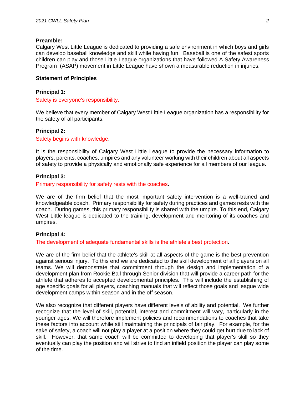#### **Preamble:**

Calgary West Little League is dedicated to providing a safe environment in which boys and girls can develop baseball knowledge and skill while having fun. Baseball is one of the safest sports children can play and those Little League organizations that have followed A Safety Awareness Program (ASAP) movement in Little League have shown a measurable reduction in injuries.

#### **Statement of Principles**

#### **Principal 1:**

Safety is everyone's responsibility.

We believe that every member of Calgary West Little League organization has a responsibility for the safety of all participants.

#### **Principal 2:**

Safety begins with knowledge.

It is the responsibility of Calgary West Little League to provide the necessary information to players, parents, coaches, umpires and any volunteer working with their children about all aspects of safety to provide a physically and emotionally safe experience for all members of our league.

#### **Principal 3:**

Primary responsibility for safety rests with the coaches.

We are of the firm belief that the most important safety intervention is a well-trained and knowledgeable coach. Primary responsibility for safety during practices and games rests with the coach. During games, this primary responsibility is shared with the umpire. To this end, Calgary West Little league is dedicated to the training, development and mentoring of its coaches and umpires.

#### **Principal 4:**

The development of adequate fundamental skills is the athlete's best protection.

We are of the firm belief that the athlete's skill at all aspects of the game is the best prevention against serious injury. To this end we are dedicated to the skill development of all players on all teams. We will demonstrate that commitment through the design and implementation of a development plan from Rookie Ball through Senior division that will provide a career path for the athlete that adheres to accepted developmental principles. This will include the establishing of age specific goals for all players, coaching manuals that will reflect those goals and league wide development camps within season and in the off season.

We also recognize that different players have different levels of ability and potential. We further recognize that the level of skill, potential, interest and commitment will vary, particularly in the younger ages. We will therefore implement policies and recommendations to coaches that take these factors into account while still maintaining the principals of fair play. For example, for the sake of safety, a coach will not play a player at a position where they could get hurt due to lack of skill. However, that same coach will be committed to developing that player's skill so they eventually can play the position and will strive to find an infield position the player can play some of the time.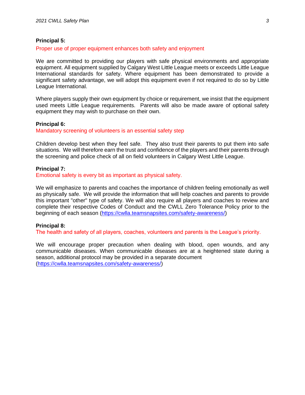#### **Principal 5:**

#### Proper use of proper equipment enhances both safety and enjoyment

We are committed to providing our players with safe physical environments and appropriate equipment. All equipment supplied by Calgary West Little League meets or exceeds Little League International standards for safety. Where equipment has been demonstrated to provide a significant safety advantage, we will adopt this equipment even if not required to do so by Little League International.

Where players supply their own equipment by choice or requirement, we insist that the equipment used meets Little League requirements. Parents will also be made aware of optional safety equipment they may wish to purchase on their own.

#### **Principal 6:**

Mandatory screening of volunteers is an essential safety step

Children develop best when they feel safe. They also trust their parents to put them into safe situations. We will therefore earn the trust and confidence of the players and their parents through the screening and police check of all on field volunteers in Calgary West Little League.

#### **Principal 7:**

Emotional safety is every bit as important as physical safety.

We will emphasize to parents and coaches the importance of children feeling emotionally as well as physically safe. We will provide the information that will help coaches and parents to provide this important "other" type of safety. We will also require all players and coaches to review and complete their respective Codes of Conduct and the CWLL Zero Tolerance Policy prior to the beginning of each season [\(https://cwlla.teamsnapsites.com/safety-awareness/\)](https://cwlla.teamsnapsites.com/safety-awareness/)

#### **Principal 8:**

The health and safety of all players, coaches, volunteers and parents is the League's priority.

We will encourage proper precaution when dealing with blood, open wounds, and any communicable diseases. When communicable diseases are at a heightened state during a season, additional protocol may be provided in a separate document [\(https://cwlla.teamsnapsites.com/safety-awareness/\)](https://cwlla.teamsnapsites.com/safety-awareness/)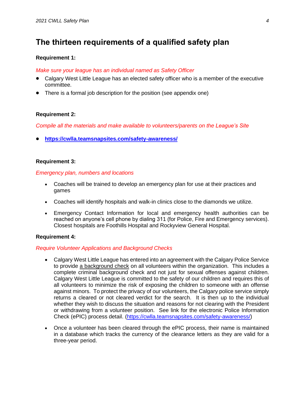# **The thirteen requirements of a qualified safety plan**

#### **Requirement 1:**

#### *Make sure your league has an individual named as Safety Officer*

- Calgary West Little League has an elected safety officer who is a member of the executive committee.
- There is a formal job description for the position (see appendix one)

#### **Requirement 2:**

*Compile all the materials and make available to volunteers/parents on the League's Site*

• **<https://cwlla.teamsnapsites.com/safety-awareness/>**

#### **Requirement 3:**

#### *Emergency plan, numbers and locations*

- Coaches will be trained to develop an emergency plan for use at their practices and games
- Coaches will identify hospitals and walk-in clinics close to the diamonds we utilize.
- Emergency Contact Information for local and emergency health authorities can be reached on anyone's cell phone by dialing 311 (for Police, Fire and Emergency services). Closest hospitals are Foothills Hospital and Rockyview General Hospital.

#### **Requirement 4:**

#### *Require Volunteer Applications and Background Checks*

- Calgary West Little League has entered into an agreement with the Calgary Police Service to provide a background check on all volunteers within the organization. This includes a complete criminal background check and not just for sexual offenses against children. Calgary West Little League is committed to the safety of our children and requires this of all volunteers to minimize the risk of exposing the children to someone with an offense against minors. To protect the privacy of our volunteers, the Calgary police service simply returns a cleared or not cleared verdict for the search. It is then up to the individual whether they wish to discuss the situation and reasons for not clearing with the President or withdrawing from a volunteer position. See link for the electronic Police Information Check (ePIC) process detail. [\(https://cwlla.teamsnapsites.com/safety-awareness/\)](https://cwlla.teamsnapsites.com/safety-awareness/)
- Once a volunteer has been cleared through the ePIC process, their name is maintained in a database which tracks the currency of the clearance letters as they are valid for a three-year period.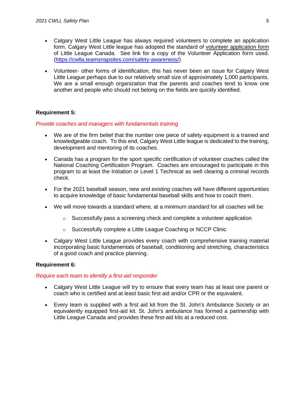- Calgary West Little League has always required volunteers to complete an application form. Calgary West Little league has adopted the standard of volunteer application form of Little League Canada. See link for a copy of the Volunteer Application form used. [\(https://cwlla.teamsnapsites.com/safety-awareness/\)](https://cwlla.teamsnapsites.com/safety-awareness/)
- Volunteer- other forms of identification, this has never been an issue for Calgary West Little League perhaps due to our relatively small size of approximately 1,000 participants. We are a small enough organization that the parents and coaches tend to know one another and people who should not belong on the fields are quickly identified.

#### **Requirement 5:**

#### *Provide coaches and managers with fundamentals training*

- We are of the firm belief that the number one piece of safety equipment is a trained and knowledgeable coach. To this end, Calgary West Little league is dedicated to the training, development and mentoring of its coaches.
- Canada has a program for the sport specific certification of volunteer coaches called the National Coaching Certification Program. Coaches are encouraged to participate in this program to at least the Initiation or Level 1 Technical as well clearing a criminal records check.
- For the 2021 baseball season, new and existing coaches will have different opportunities to acquire knowledge of basic fundamental baseball skills and how to coach them.
- We will move towards a standard where, at a minimum standard for all coaches will be:
	- $\circ$  Successfully pass a screening check and complete a volunteer application
	- o Successfully complete a Little League Coaching or NCCP Clinic
- Calgary West Little League provides every coach with comprehensive training material incorporating basic fundamentals of baseball, conditioning and stretching, characteristics of a good coach and practice planning.

#### **Requirement 6:**

#### *Require each team to identify a first-aid responder*

- Calgary West Little League will try to ensure that every team has at least one parent or coach who is certified and at least basic first aid and/or CPR or the equivalent.
- Every team is supplied with a first aid kit from the St. John's Ambulance Society or an equivalently equipped first-aid kit. St. John's ambulance has formed a partnership with Little League Canada and provides these first-aid kits at a reduced cost.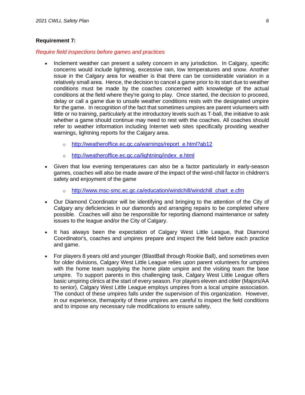#### **Requirement 7:**

#### *Require field inspections before games and practices*

- Inclement weather can present a safety concern in any jurisdiction. In Calgary, specific concerns would include lightning, excessive rain, low temperatures and snow. Another issue in the Calgary area for weather is that there can be considerable variation in a relatively small area. Hence, the decision to cancel a game prior to its start due to weather conditions must be made by the coaches concerned with knowledge of the actual conditions at the field where they're going to play. Once started, the decision to proceed, delay or call a game due to unsafe weather conditions rests with the designated umpire for the game. In recognition of the fact that sometimes umpires are parent volunteers with little or no training, particularly at the introductory levels such as T-ball, the initiative to ask whether a game should continue may need to rest with the coaches. All coaches should refer to weather information including Internet web sites specifically providing weather warnings, lightning reports for the Calgary area.
	- o [http://weatheroffice.ec.gc.ca/warnings/report\\_e.html?ab12](https://weather.gc.ca/warnings/report_e.html?ab12)
	- o [http://weatheroffice.ec.gc.ca/lightning/index\\_e.html](https://weather.gc.ca/lightning/index_e.html)
- Given that low evening temperatures can also be a factor particularly in early-season games, coaches will also be made aware of the impact of the wind-chill factor in children's safety and enjoyment of the game
	- o http://www.msc-smc.ec.gc.ca/education/windchill/windchill chart e.cfm
- Our Diamond Coordinator will be identifying and bringing to the attention of the City of Calgary any deficiencies in our diamonds and arranging repairs to be completed where possible. Coaches will also be responsible for reporting diamond maintenance or safety issues to the league and/or the City of Calgary.
- It has always been the expectation of Calgary West Little League, that Diamond Coordinator's, coaches and umpires prepare and inspect the field before each practice and game.
- For players 8 years old and younger (BlastBall through Rookie Ball), and sometimes even for older divisions, Calgary West Little League relies upon parent volunteers for umpires with the home team supplying the home plate umpire and the visiting team the base umpire. To support parents in this challenging task, Calgary West Little League offers basic umpiring clinics at the start of every season. For players eleven and older (Majors/AA to senior), Calgary West Little League employs umpires from a local umpire association. The conduct of these umpires falls under the supervision of this organization. However, in our experience, themajority of these umpires are careful to inspect the field conditions and to impose any necessary rule modifications to ensure safety.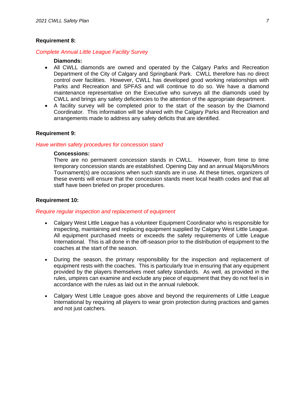#### **Requirement 8:**

#### *Complete Annual Little League Facility Survey*

#### **Diamonds:**

- All CWLL diamonds are owned and operated by the Calgary Parks and Recreation Department of the City of Calgary and Springbank Park. CWLL therefore has no direct control over facilities. However, CWLL has developed good working relationships with Parks and Recreation and SPFAS and will continue to do so. We have a diamond maintenance representative on the Executive who surveys all the diamonds used by CWLL and brings any safety deficiencies to the attention of the appropriate department.
- A facility survey will be completed prior to the start of the season by the Diamond Coordinator. This information will be shared with the Calgary Parks and Recreation and arrangements made to address any safety deficits that are identified.

#### **Requirement 9:**

#### *Have written safety procedures for concession stand*

#### **Concessions:**

There are no permanent concession stands in CWLL. However, from time to time temporary concession stands are established. Opening Day and an annual Majors/Minors Tournament(s) are occasions when such stands are in use. At these times, organizers of these events will ensure that the concession stands meet local health codes and that all staff have been briefed on proper procedures.

#### **Requirement 10:**

#### *Require regular inspection and replacement of equipment*

- Calgary West Little League has a volunteer Equipment Coordinator who is responsible for inspecting, maintaining and replacing equipment supplied by Calgary West Little League. All equipment purchased meets or exceeds the safety requirements of Little League International. This is all done in the off-season prior to the distribution of equipment to the coaches at the start of the season.
- During the season, the primary responsibility for the inspection and replacement of equipment rests with the coaches. This is particularly true in ensuring that any equipment provided by the players themselves meet safety standards. As well, as provided in the rules, umpires can examine and exclude any piece of equipment that they do not feel is in accordance with the rules as laid out in the annual rulebook.
- Calgary West Little League goes above and beyond the requirements of Little League International by requiring all players to wear groin protection during practices and games and not just catchers.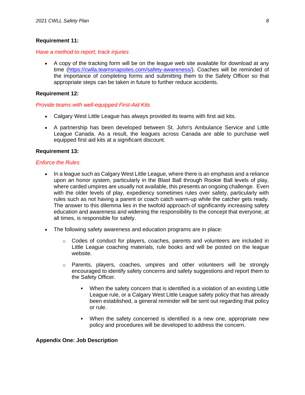#### **Requirement 11:**

#### *Have a method to report, track injuries*

• A copy of the tracking form will be on the league web site available for download at any time [\(https://cwlla.teamsnapsites.com/safety-awareness/\)](https://cwlla.teamsnapsites.com/safety-awareness/). Coaches will be reminded of the importance of completing forms and submitting them to the Safety Officer so that appropriate steps can be taken in future to further reduce accidents.

#### **Requirement 12:**

#### *Provide teams with well-equipped First-Aid Kits*

- Calgary West Little League has always provided its teams with first aid kits.
- A partnership has been developed between St. John's Ambulance Service and Little League Canada. As a result, the leagues across Canada are able to purchase well equipped first aid kits at a significant discount.

#### **Requirement 13:**

#### *Enforce the Rules*

- In a league such as Calgary West Little League, where there is an emphasis and a reliance upon an honor system, particularly in the Blast Ball through Rookie Ball levels of play, where carded umpires are usually not available, this presents an ongoing challenge. Even with the older levels of play, expediency sometimes rules over safety, particularly with rules such as not having a parent or coach catch warm-up while the catcher gets ready. The answer to this dilemma lies in the twofold approach of significantly increasing safety education and awareness and widening the responsibility to the concept that everyone, at all times, is responsible for safety.
- The following safety awareness and education programs are in place:
	- $\circ$  Codes of conduct for players, coaches, parents and volunteers are included in Little League coaching materials, rule books and will be posted on the league website.
	- $\circ$  Parents, players, coaches, umpires and other volunteers will be strongly encouraged to identify safety concerns and safety suggestions and report them to the Safety Officer.
		- When the safety concern that is identified is a violation of an existing Little League rule, or a Calgary West Little League safety policy that has already been established, a general reminder will be sent out regarding that policy or rule.
		- When the safety concerned is identified is a new one, appropriate new policy and procedures will be developed to address the concern.

#### **Appendix One: Job Description**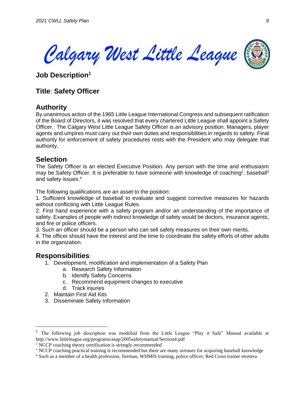

**Job Description<sup>1</sup>**

# **Title**: **Safety Officer**

## **Authority**

By unanimous action of the 1965 Little League International Congress and subsequent ratification of the Board of Directors, it was resolved that every chartered Little League shall appoint a Safety Officer. The Calgary West Little League Safety Officer is an advisory position. Managers, player agents and umpires must carry out their own duties and responsibilities in regards to safety. Final authority for enforcement of safety procedures rests with the President who may delegate that authority.

## **Selection**:

The Safety Officer is an elected Executive Position. Any person with the time and enthusiasm may be Safety Officer. It is preferable to have someone with knowledge of coaching<sup>2</sup>, baseball<sup>3</sup> and safety issues.<sup>4</sup>

The following qualifications are an asset to the position:

1. Sufficient knowledge of baseball to evaluate and suggest corrective measures for hazards without conflicting with Little League Rules.

2. First hand experience with a safety program and/or an understanding of the importance of safety. Examples of people with indirect knowledge of safety would be doctors, insurance agents, and fire or police officers.

3. Such an officer should be a person who can sell safety measures on their own merits.

4. The officer should have the interest and the time to coordinate the safety efforts of other adults in the organization.

## **Responsibilities**:

- 1. Development, modification and implementation of a Safety Plan
	- a. Research Safety Information
	- b. Identify Safety Concerns
	- c. Recommend equipment changes to executive
	- d. Track injuries
- 2. Maintain First Aid Kits
- 3. Disseminate Safety Information

<sup>&</sup>lt;sup>1</sup> The following job description was modified from the Little League "Play it Safe" Manual available at <http://www.littleleague.org/programs/asap/2005safetymanual/Section4.pdf>

<sup>&</sup>lt;sup>2</sup> NCCP coaching theory certification is strongly recommended

<sup>&</sup>lt;sup>3</sup> NCCP coaching practical training is recommended but there are many avenues for acquiring baseball knowledge

<sup>4</sup> Such as a member of a health profession, fireman, WHMIS training, police officer, Red Cross trainer etcetera